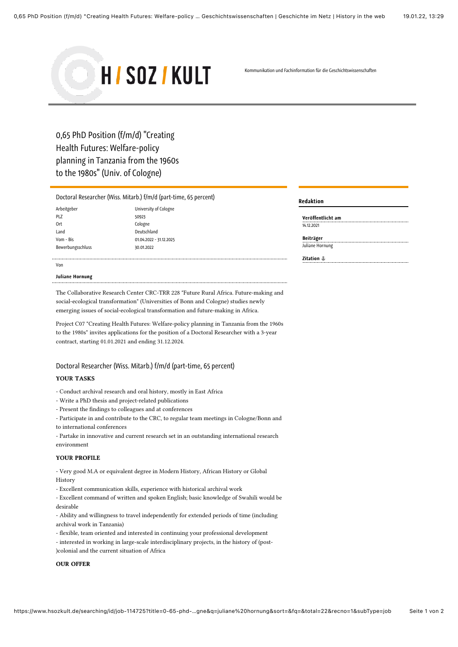

Kommunikation und Fachinformation für die Geschichtswissenschaften

# <span id="page-0-1"></span>0,65 PhD Position (f/m/d) "Creating Health Futures: Welfare-policy planning in Tanzania from the 1960s to the 1980s" (Univ. of Cologne)

# [Doctoral Researcher \(Wiss. Mitarb.\) f/m/d \(part-time, 65 percent\)](#page-0-0)

| Arbeitgeber       | Unive  |
|-------------------|--------|
| PLZ               | 50923  |
| 0rt               | Colog  |
| Land              | Deuts  |
| Vom - Bis         | 01.04. |
| Bewerbungsschluss | 30.01. |

University of Cologne Cologne Deutschland 01.04.2022 - 31.12.2025 Bewerbungsschluss 30.01.2022

### Von

### Juliane Hornung

The Collaborative Research Center CRC-TRR 228 "Future Rural Africa. Future-making and social-ecological transformation" (Universities of Bonn and Cologne) studies newly emerging issues of social-ecological transformation and future-making in Africa.

Project C07 "Creating Health Futures: Welfare-policy planning in Tanzania from the 1960s to the 1980s" invites applications for the position of a Doctoral Researcher with a 3-year contract, starting 01.01.2021 and ending 31.12.2024.

# <span id="page-0-0"></span>Doctoral Researcher (Wiss. Mitarb.) f/m/d (part-time, 65 percent) YOUR TASKS

- Conduct archival research and oral history, mostly in East Africa

- Write a PhD thesis and project-related publications
- Present the findings to colleagues and at conferences
- Participate in and contribute to the CRC, to regular team meetings in Cologne/Bonn and
- to international conferences
- Partake in innovative and current research set in an outstanding international research environment

# YOUR PROFILE

- Very good M.A or equivalent degree in Modern History, African History or Global History

- Excellent communication skills, experience with historical archival work
- Excellent command of written and spoken English; basic knowledge of Swahili would be desirable

- Ability and willingness to travel independently for extended periods of time (including archival work in Tanzania)

- flexible, team oriented and interested in continuing your professional development
- interested in working in large-scale interdisciplinary projects, in the history of (post-
- )colonial and the current situation of Africa

## OUR OFFER

#### Redaktion Redaktion

| Veröffentlicht am |  |
|-------------------|--|
| 14.12.2021        |  |

| Beiträger       |  |
|-----------------|--|
| Juliane Hornung |  |

| Zitation $\mathbb {L}$ |  |  |
|------------------------|--|--|
|------------------------|--|--|